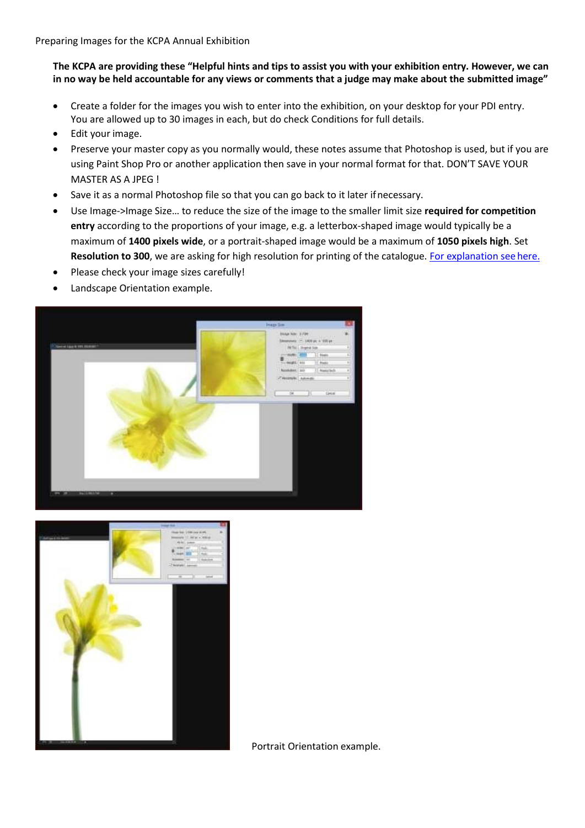## **The KCPA are providing these "Helpful hints and tips to assist you with your exhibition entry. However, we can in no way be held accountable for any views or comments that a judge may make about the submitted image"**

- Create a folder for the images you wish to enter into the exhibition, on your desktop for your PDI entry. You are allowed up to 30 images in each, but do check Conditions for full details.
- Edit your image.
- Preserve your master copy as you normally would, these notes assume that Photoshop is used, but if you are using Paint Shop Pro or another application then save in your normal format for that. DON'T SAVE YOUR MASTER AS A JPEG !
- Save it as a normal Photoshop file so that you can go back to it later ifnecessary.
- Use Image->Image Size… to reduce the size of the image to the smaller limit size **required for competition entry** according to the proportions of your image, e.g. a letterbox-shaped image would typically be a maximum of **1400 pixels wide**, or a portrait-shaped image would be a maximum of **1050 pixels high**. Set **Resolution to 300**, we are asking for high resolution for printing of the catalogue. [For explanation seehere.](http://www.kcpa.co.uk/?p=5973)
- Please check your image sizes carefully!
- Landscape Orientation example.





Portrait Orientation example.